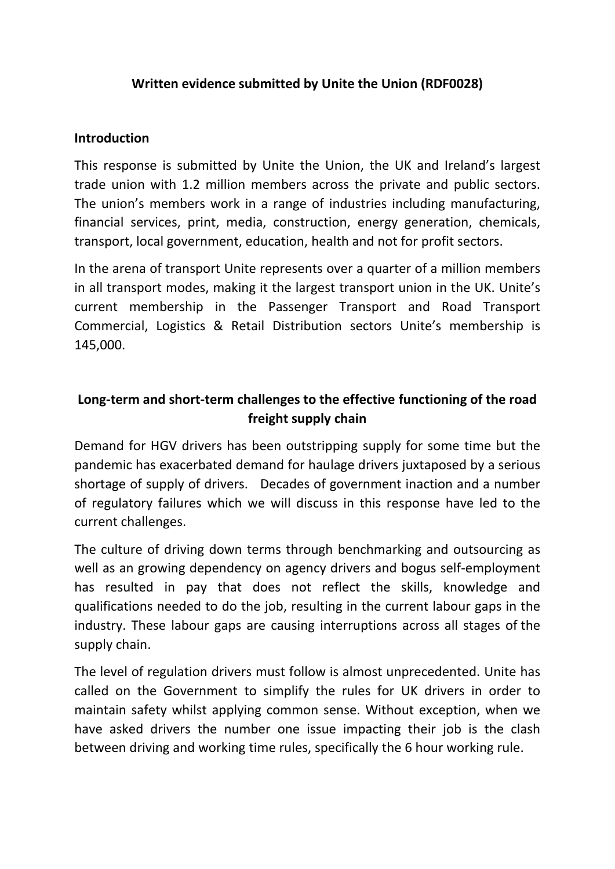### **Written evidence submitted by Unite the Union (RDF0028)**

#### **Introduction**

This response is submitted by Unite the Union, the UK and Ireland's largest trade union with 1.2 million members across the private and public sectors. The union's members work in a range of industries including manufacturing, financial services, print, media, construction, energy generation, chemicals, transport, local government, education, health and not for profit sectors.

In the arena of transport Unite represents over a quarter of a million members in all transport modes, making it the largest transport union in the UK. Unite's current membership in the Passenger Transport and Road Transport Commercial, Logistics & Retail Distribution sectors Unite's membership is 145,000.

# **Long-term and short-term challenges to the effective functioning of the road freight supply chain**

Demand for HGV drivers has been outstripping supply for some time but the pandemic has exacerbated demand for haulage drivers juxtaposed by a serious shortage of supply of drivers. Decades of government inaction and a number of regulatory failures which we will discuss in this response have led to the current challenges.

The culture of driving down terms through benchmarking and outsourcing as well as an growing dependency on agency drivers and bogus self-employment has resulted in pay that does not reflect the skills, knowledge and qualifications needed to do the job, resulting in the current labour gaps in the industry. These labour gaps are causing interruptions across all stages of the supply chain.

The level of regulation drivers must follow is almost unprecedented. Unite has called on the Government to simplify the rules for UK drivers in order to maintain safety whilst applying common sense. Without exception, when we have asked drivers the number one issue impacting their job is the clash between driving and working time rules, specifically the 6 hour working rule.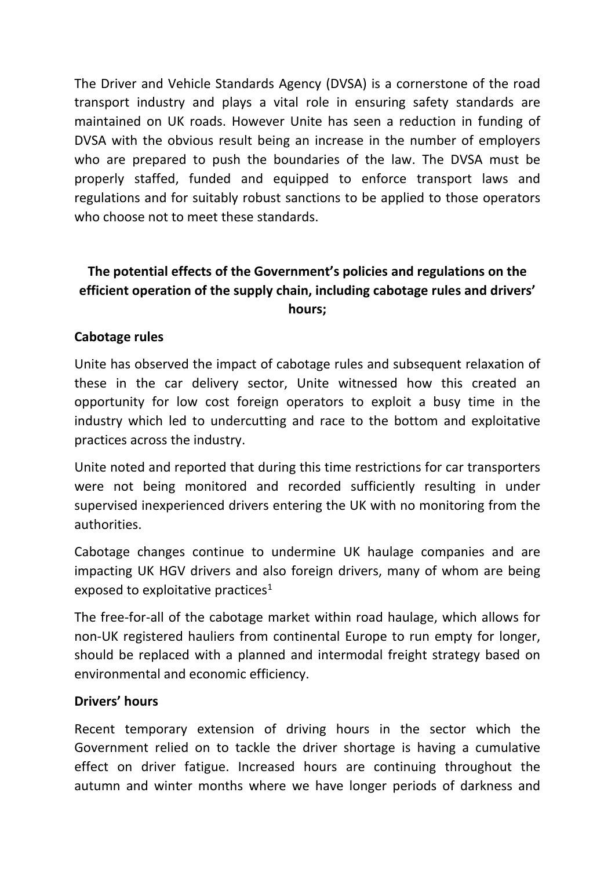The Driver and Vehicle Standards Agency (DVSA) is a cornerstone of the road transport industry and plays a vital role in ensuring safety standards are maintained on UK roads. However Unite has seen a reduction in funding of DVSA with the obvious result being an increase in the number of employers who are prepared to push the boundaries of the law. The DVSA must be properly staffed, funded and equipped to enforce transport laws and regulations and for suitably robust sanctions to be applied to those operators who choose not to meet these standards.

# **The potential effects of the Government's policies and regulations on the efficient operation of the supply chain, including cabotage rules and drivers' hours;**

### **Cabotage rules**

Unite has observed the impact of cabotage rules and subsequent relaxation of these in the car delivery sector, Unite witnessed how this created an opportunity for low cost foreign operators to exploit a busy time in the industry which led to undercutting and race to the bottom and exploitative practices across the industry.

Unite noted and reported that during this time restrictions for car transporters were not being monitored and recorded sufficiently resulting in under supervised inexperienced drivers entering the UK with no monitoring from the authorities.

Cabotage changes continue to undermine UK haulage companies and are impacting UK HGV drivers and also foreign drivers, many of whom are being exposed to exploitative practices<sup>1</sup>

The free-for-all of the cabotage market within road haulage, which allows for non-UK registered hauliers from continental Europe to run empty for longer, should be replaced with a planned and intermodal freight strategy based on environmental and economic efficiency.

### **Drivers' hours**

Recent temporary extension of driving hours in the sector which the Government relied on to tackle the driver shortage is having a cumulative effect on driver fatigue. Increased hours are continuing throughout the autumn and winter months where we have longer periods of darkness and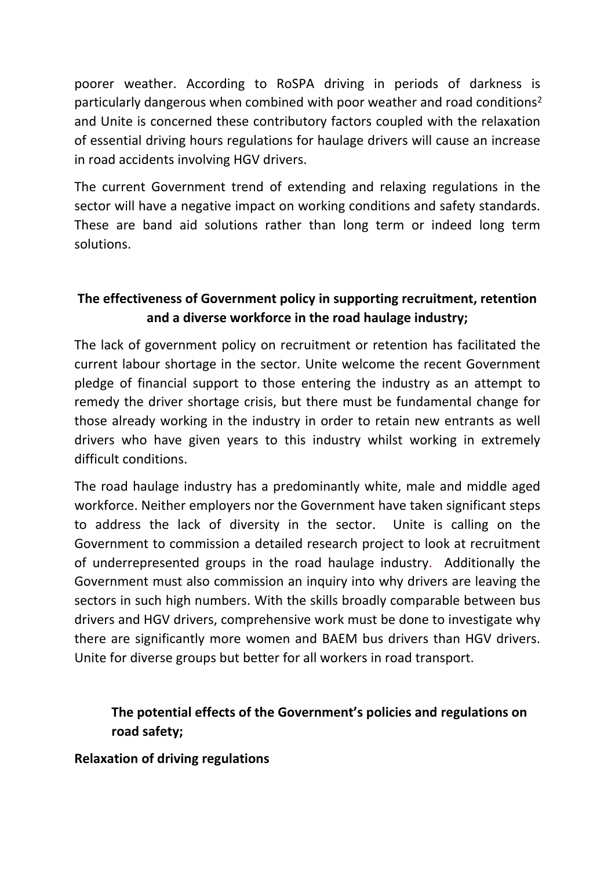poorer weather. According to RoSPA driving in periods of darkness is particularly dangerous when combined with poor weather and road conditions<sup>2</sup> and Unite is concerned these contributory factors coupled with the relaxation of essential driving hours regulations for haulage drivers will cause an increase in road accidents involving HGV drivers.

The current Government trend of extending and relaxing regulations in the sector will have a negative impact on working conditions and safety standards. These are band aid solutions rather than long term or indeed long term solutions.

## **The effectiveness of Government policy in supporting recruitment, retention and a diverse workforce in the road haulage industry;**

The lack of government policy on recruitment or retention has facilitated the current labour shortage in the sector. Unite welcome the recent Government pledge of financial support to those entering the industry as an attempt to remedy the driver shortage crisis, but there must be fundamental change for those already working in the industry in order to retain new entrants as well drivers who have given years to this industry whilst working in extremely difficult conditions.

The road haulage industry has a predominantly white, male and middle aged workforce. Neither employers nor the Government have taken significant steps to address the lack of diversity in the sector. Unite is calling on the Government to commission a detailed research project to look at recruitment of underrepresented groups in the road haulage industry. Additionally the Government must also commission an inquiry into why drivers are leaving the sectors in such high numbers. With the skills broadly comparable between bus drivers and HGV drivers, comprehensive work must be done to investigate why there are significantly more women and BAEM bus drivers than HGV drivers. Unite for diverse groups but better for all workers in road transport.

### **The potential effects of the Government's policies and regulations on road safety;**

### **Relaxation of driving regulations**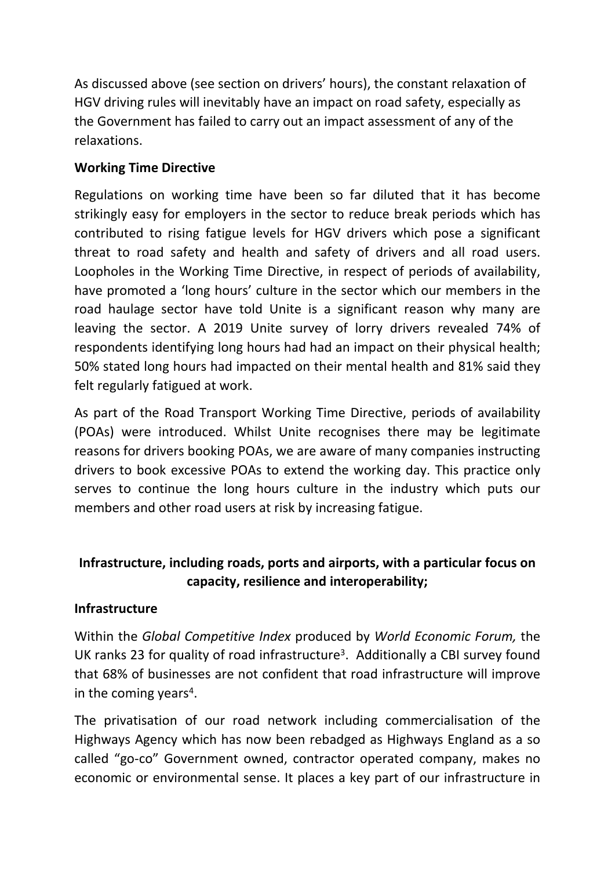As discussed above (see section on drivers' hours), the constant relaxation of HGV driving rules will inevitably have an impact on road safety, especially as the Government has failed to carry out an impact assessment of any of the relaxations.

### **Working Time Directive**

Regulations on working time have been so far diluted that it has become strikingly easy for employers in the sector to reduce break periods which has contributed to rising fatigue levels for HGV drivers which pose a significant threat to road safety and health and safety of drivers and all road users. Loopholes in the Working Time Directive, in respect of periods of availability, have promoted a 'long hours' culture in the sector which our members in the road haulage sector have told Unite is a significant reason why many are leaving the sector. A 2019 Unite survey of lorry drivers revealed 74% of respondents identifying long hours had had an impact on their physical health; 50% stated long hours had impacted on their mental health and 81% said they felt regularly fatigued at work.

As part of the Road Transport Working Time Directive, periods of availability (POAs) were introduced. Whilst Unite recognises there may be legitimate reasons for drivers booking POAs, we are aware of many companies instructing drivers to book excessive POAs to extend the working day. This practice only serves to continue the long hours culture in the industry which puts our members and other road users at risk by increasing fatigue.

### **Infrastructure, including roads, ports and airports, with a particular focus on capacity, resilience and interoperability;**

### **Infrastructure**

Within the *Global Competitive Index* produced by *World Economic Forum,* the UK ranks 23 for quality of road infrastructure<sup>3</sup>. Additionally a CBI survey found that 68% of businesses are not confident that road infrastructure will improve in the coming years<sup>4</sup>.

The privatisation of our road network including commercialisation of the Highways Agency which has now been rebadged as Highways England as a so called "go-co" Government owned, contractor operated company, makes no economic or environmental sense. It places a key part of our infrastructure in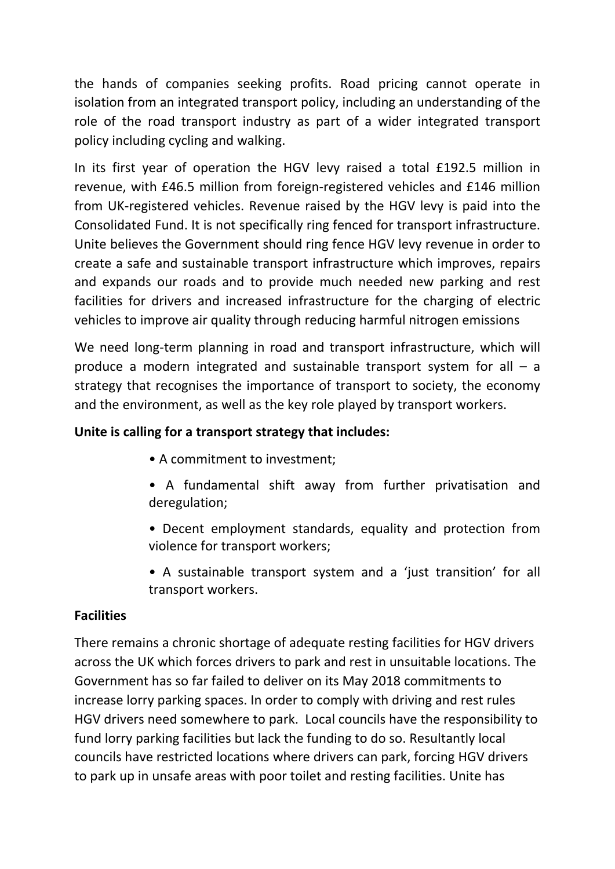the hands of companies seeking profits. Road pricing cannot operate in isolation from an integrated transport policy, including an understanding of the role of the road transport industry as part of a wider integrated transport policy including cycling and walking.

In its first year of operation the HGV levy raised a total £192.5 million in revenue, with £46.5 million from foreign-registered vehicles and £146 million from UK-registered vehicles. Revenue raised by the HGV levy is paid into the Consolidated Fund. It is not specifically ring fenced for transport infrastructure. Unite believes the Government should ring fence HGV levy revenue in order to create a safe and sustainable transport infrastructure which improves, repairs and expands our roads and to provide much needed new parking and rest facilities for drivers and increased infrastructure for the charging of electric vehicles to improve air quality through reducing harmful nitrogen emissions

We need long-term planning in road and transport infrastructure, which will produce a modern integrated and sustainable transport system for all – a strategy that recognises the importance of transport to society, the economy and the environment, as well as the key role played by transport workers.

### **Unite is calling for a transport strategy that includes:**

- A commitment to investment;
- A fundamental shift away from further privatisation and deregulation;
- Decent employment standards, equality and protection from violence for transport workers;
- A sustainable transport system and a 'just transition' for all transport workers.

### **Facilities**

There remains a chronic shortage of adequate resting facilities for HGV drivers across the UK which forces drivers to park and rest in unsuitable locations. The Government has so far failed to deliver on its May 2018 commitments to increase lorry parking spaces. In order to comply with driving and rest rules HGV drivers need somewhere to park. Local councils have the responsibility to fund lorry parking facilities but lack the funding to do so. Resultantly local councils have restricted locations where drivers can park, forcing HGV drivers to park up in unsafe areas with poor toilet and resting facilities. Unite has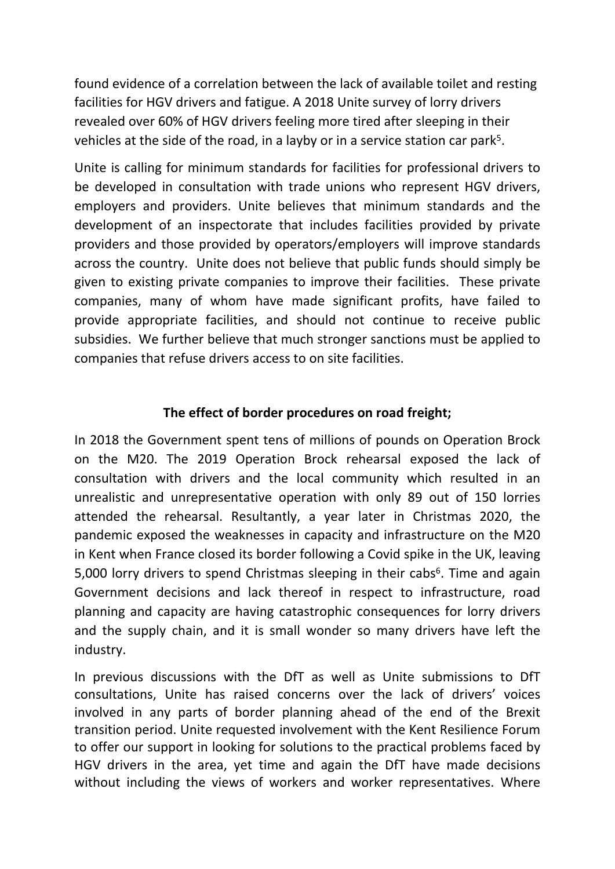found evidence of a correlation between the lack of available toilet and resting facilities for HGV drivers and fatigue. A 2018 Unite survey of lorry drivers revealed over 60% of HGV drivers feeling more tired after sleeping in their vehicles at the side of the road, in a layby or in a service station car park<sup>5</sup>.

Unite is calling for minimum standards for facilities for professional drivers to be developed in consultation with trade unions who represent HGV drivers, employers and providers. Unite believes that minimum standards and the development of an inspectorate that includes facilities provided by private providers and those provided by operators/employers will improve standards across the country. Unite does not believe that public funds should simply be given to existing private companies to improve their facilities. These private companies, many of whom have made significant profits, have failed to provide appropriate facilities, and should not continue to receive public subsidies. We further believe that much stronger sanctions must be applied to companies that refuse drivers access to on site facilities.

### **The effect of border procedures on road freight;**

In 2018 the Government spent tens of millions of pounds on Operation Brock on the M20. The 2019 Operation Brock rehearsal exposed the lack of consultation with drivers and the local community which resulted in an unrealistic and unrepresentative operation with only 89 out of 150 lorries attended the rehearsal. Resultantly, a year later in Christmas 2020, the pandemic exposed the weaknesses in capacity and infrastructure on the M20 in Kent when France closed its border following a Covid spike in the UK, leaving 5,000 lorry drivers to spend Christmas sleeping in their cabs<sup>6</sup>. Time and again Government decisions and lack thereof in respect to infrastructure, road planning and capacity are having catastrophic consequences for lorry drivers and the supply chain, and it is small wonder so many drivers have left the industry.

In previous discussions with the DfT as well as Unite submissions to DfT consultations, Unite has raised concerns over the lack of drivers' voices involved in any parts of border planning ahead of the end of the Brexit transition period. Unite requested involvement with the Kent Resilience Forum to offer our support in looking for solutions to the practical problems faced by HGV drivers in the area, yet time and again the DfT have made decisions without including the views of workers and worker representatives. Where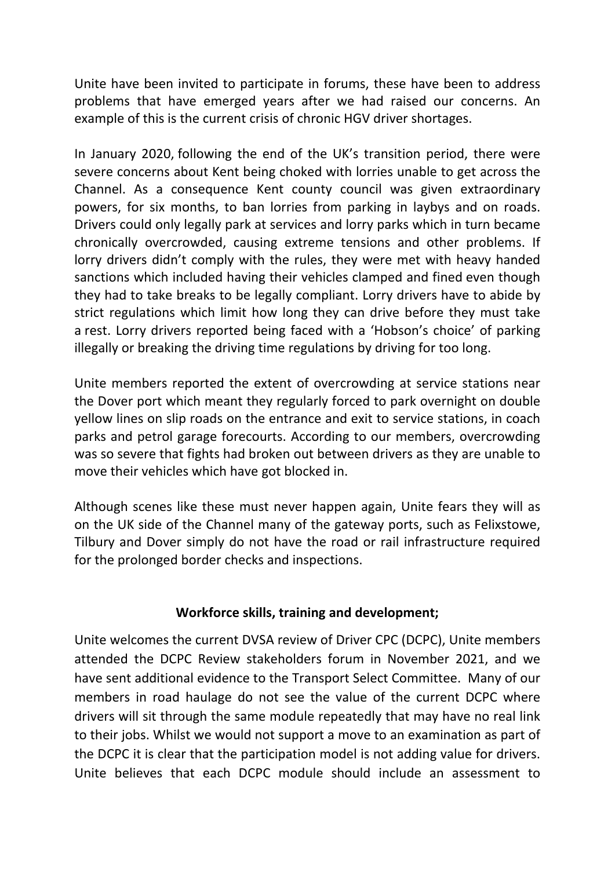Unite have been invited to participate in forums, these have been to address problems that have emerged years after we had raised our concerns. An example of this is the current crisis of chronic HGV driver shortages.

In January 2020, following the end of the UK's transition period, there were severe concerns about Kent being choked with lorries unable to get across the Channel. As a consequence Kent county council was given extraordinary powers, for six months, to ban lorries from parking in laybys and on roads. Drivers could only legally park at services and lorry parks which in turn became chronically overcrowded, causing extreme tensions and other problems. If lorry drivers didn't comply with the rules, they were met with heavy handed sanctions which included having their vehicles clamped and fined even though they had to take breaks to be legally compliant. Lorry drivers have to abide by strict regulations which limit how long they can drive before they must take a rest. Lorry drivers reported being faced with a 'Hobson's choice' of parking illegally or breaking the driving time regulations by driving for too long.

Unite members reported the extent of overcrowding at service stations near the Dover port which meant they regularly forced to park overnight on double yellow lines on slip roads on the entrance and exit to service stations, in coach parks and petrol garage forecourts. According to our members, overcrowding was so severe that fights had broken out between drivers as they are unable to move their vehicles which have got blocked in.

Although scenes like these must never happen again, Unite fears they will as on the UK side of the Channel many of the gateway ports, such as Felixstowe, Tilbury and Dover simply do not have the road or rail infrastructure required for the prolonged border checks and inspections.

### **Workforce skills, training and development;**

Unite welcomes the current DVSA review of Driver CPC (DCPC), Unite members attended the DCPC Review stakeholders forum in November 2021, and we have sent additional evidence to the Transport Select Committee. Many of our members in road haulage do not see the value of the current DCPC where drivers will sit through the same module repeatedly that may have no real link to their jobs. Whilst we would not support a move to an examination as part of the DCPC it is clear that the participation model is not adding value for drivers. Unite believes that each DCPC module should include an assessment to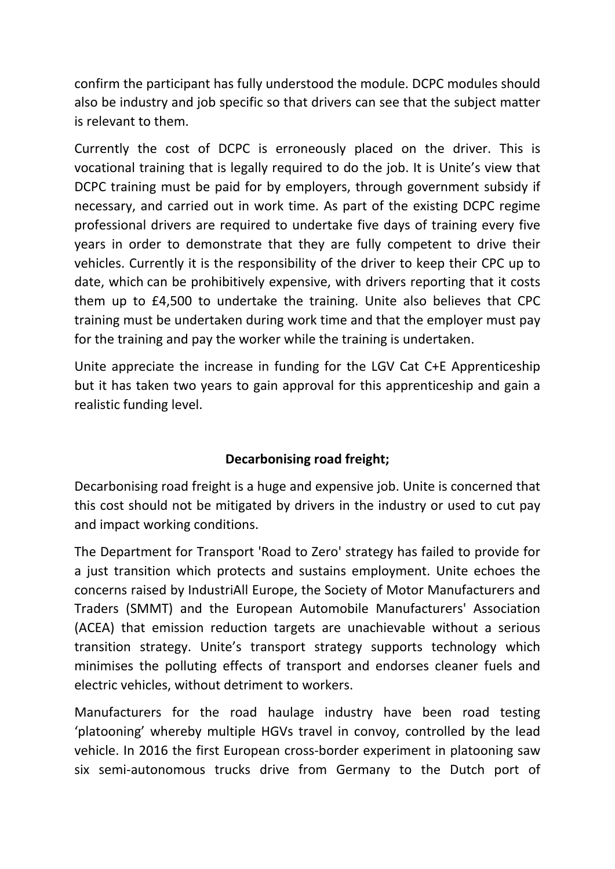confirm the participant has fully understood the module. DCPC modules should also be industry and job specific so that drivers can see that the subject matter is relevant to them.

Currently the cost of DCPC is erroneously placed on the driver. This is vocational training that is legally required to do the job. It is Unite's view that DCPC training must be paid for by employers, through government subsidy if necessary, and carried out in work time. As part of the existing DCPC regime professional drivers are required to undertake five days of training every five years in order to demonstrate that they are fully competent to drive their vehicles. Currently it is the responsibility of the driver to keep their CPC up to date, which can be prohibitively expensive, with drivers reporting that it costs them up to £4,500 to undertake the training. Unite also believes that CPC training must be undertaken during work time and that the employer must pay for the training and pay the worker while the training is undertaken.

Unite appreciate the increase in funding for the LGV Cat C+E Apprenticeship but it has taken two years to gain approval for this apprenticeship and gain a realistic funding level.

### **Decarbonising road freight;**

Decarbonising road freight is a huge and expensive job. Unite is concerned that this cost should not be mitigated by drivers in the industry or used to cut pay and impact working conditions.

The Department for Transport 'Road to Zero' strategy has failed to provide for a just transition which protects and sustains employment. Unite echoes the concerns raised by IndustriAll Europe, the Society of Motor Manufacturers and Traders (SMMT) and the European Automobile Manufacturers' Association (ACEA) that emission reduction targets are unachievable without a serious transition strategy. Unite's transport strategy supports technology which minimises the polluting effects of transport and endorses cleaner fuels and electric vehicles, without detriment to workers.

Manufacturers for the road haulage industry have been road testing 'platooning' whereby multiple HGVs travel in convoy, controlled by the lead vehicle. In 2016 the first European cross-border experiment in platooning saw six semi-autonomous trucks drive from Germany to the Dutch port of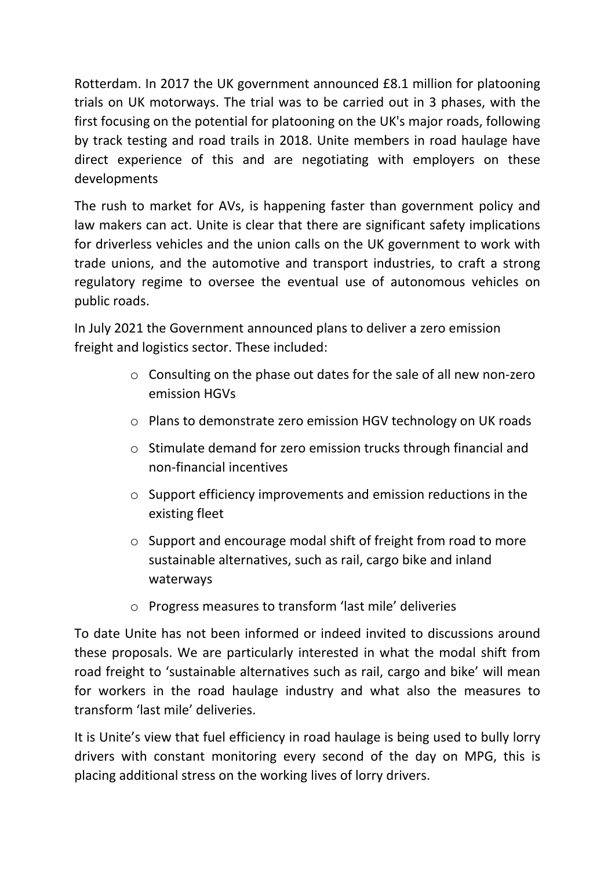Rotterdam. In 2017 the UK government announced £8.1 million for platooning trials on UK motorways. The trial was to be carried out in 3 phases, with the first focusing on the potential for platooning on the UK's major roads, following by track testing and road trails in 2018. Unite members in road haulage have direct experience of this and are negotiating with employers on these developments

The rush to market for AVs, is happening faster than government policy and law makers can act. Unite is clear that there are significant safety implications for driverless vehicles and the union calls on the UK government to work with trade unions, and the automotive and transport industries, to craft a strong regulatory regime to oversee the eventual use of autonomous vehicles on public roads.

In July 2021 the Government announced plans to deliver a zero emission freight and logistics sector. These included:

- o Consulting on the phase out dates for the sale of all new non-zero emission HGVs
- o Plans to demonstrate zero emission HGV technology on UK roads
- o Stimulate demand for zero emission trucks through financial and non-financial incentives
- o Support efficiency improvements and emission reductions in the existing fleet
- o Support and encourage modal shift of freight from road to more sustainable alternatives, such as rail, cargo bike and inland waterways
- o Progress measures to transform 'last mile' deliveries

To date Unite has not been informed or indeed invited to discussions around these proposals. We are particularly interested in what the modal shift from road freight to 'sustainable alternatives such as rail, cargo and bike' will mean for workers in the road haulage industry and what also the measures to transform 'last mile' deliveries.

It is Unite's view that fuel efficiency in road haulage is being used to bully lorry drivers with constant monitoring every second of the day on MPG, this is placing additional stress on the working lives of lorry drivers.